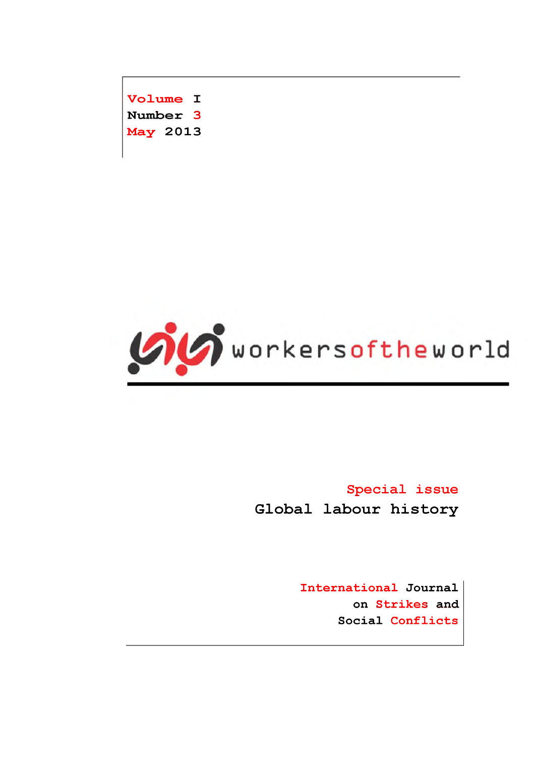Volume I Number 3 **May 2013** 



**Special** issue **Global labour history** 

> International Journal on Strikes and Social Conflicts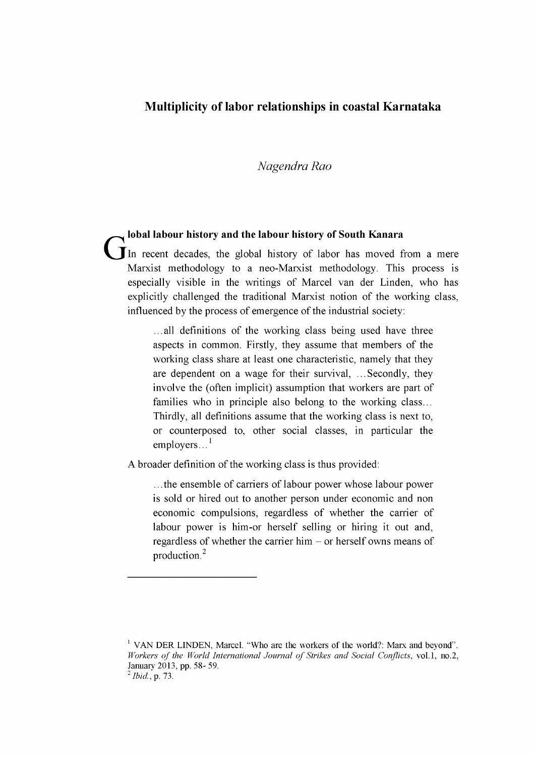## **Multiplicity of labor relationships in coastal Karnataka**

## *Nagendra Rao*

**lobal labour history and the labour history of South Kanara** In recent decades, the global history of labor has moved from a mere Marxist methodology to a neo-Marxist methodology. This process is especially visible in the writings of Marcel van der Linden, who has explicitly challenged the traditional Marxist notion of the working class, influenced by the process of emergence of the industrial society:

> ...all definitions of the working class being used have three aspects in common. Firstly, they assume that members of the working class share at least one characteristic, namely that they are dependent on a wage for their survival, ... Secondly, they involve the (often implicit) assumption that workers are part of families who in principle also belong to the working class... Thirdly, all definitions assume that the working class is next to, or counterposed to, other social classes, in particular the employers. $^{1}$

A broader definition of the working class is thus provided:

... the ensemble of carriers of labour power whose labour power is sold or hired out to another person under economic and non economic compulsions, regardless of whether the carrier of labour power is him-or herself selling or hiring it out and, regardless of whether the carrier him - or herself owns means of production.2

<sup>&</sup>lt;sup>1</sup> VAN DER LINDEN, Marcel. "Who are the workers of the world?: Marx and beyond". *Workers of the World International Journal of Strikes and Social Conflicts,* vol.1, no.2, **January 2013, pp. 58- 59.**

<sup>2</sup>*Ibid.,* **p. 73.**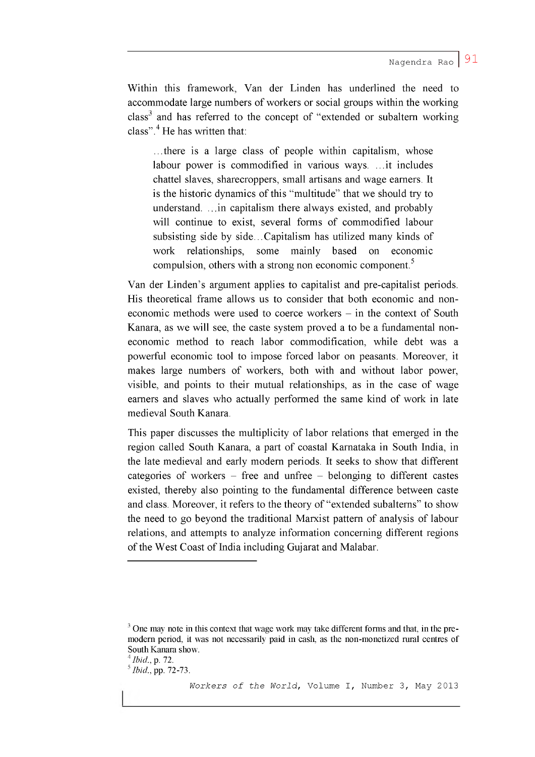Within this framework, Van der Linden has underlined the need to accommodate large numbers of workers or social groups within the working  $class<sup>3</sup>$  and has referred to the concept of "extended or subaltern working class". $4$  He has written that:

...there is a large class of people within capitalism, whose labour power is commodified in various ways. ... it includes chattel slaves, sharecroppers, small artisans and wage earners. It is the historic dynamics of this "multitude" that we should try to understand. ... in capitalism there always existed, and probably will continue to exist, several forms of commodified labour subsisting side by side.. .Capitalism has utilized many kinds of work relationships, some mainly based on economic compulsion, others with a strong non economic component.<sup>5</sup>

Van der Linden's argument applies to capitalist and pre-capitalist periods. His theoretical frame allows us to consider that both economic and noneconomic methods were used to coerce workers - in the context of South Kanara, as we will see, the caste system proved a to be a fundamental noneconomic method to reach labor commodification, while debt was a powerful economic tool to impose forced labor on peasants. Moreover, it makes large numbers of workers, both with and without labor power, visible, and points to their mutual relationships, as in the case of wage earners and slaves who actually performed the same kind of work in late medieval South Kanara.

This paper discusses the multiplicity of labor relations that emerged in the region called South Kanara, a part of coastal Karnataka in South India, in the late medieval and early modern periods. It seeks to show that different categories of workers  $-$  free and unfree  $-$  belonging to different castes existed, thereby also pointing to the fundamental difference between caste and class. Moreover, it refers to the theory of "extended subalterns" to show the need to go beyond the traditional Marxist pattern of analysis of labour relations, and attempts to analyze information concerning different regions of the West Coast of India including Gujarat and Malabar.

**<sup>3</sup> One may note in this context that wage work may take different forms and that, in the premodern period, it was not necessarily paid in cash, as the non-monetized rural centres of South Kanara show.**

**<sup>4</sup>** *Ib id ,* **p. 72.**

**<sup>5</sup>** *Ib id ,* **pp. 72-73.**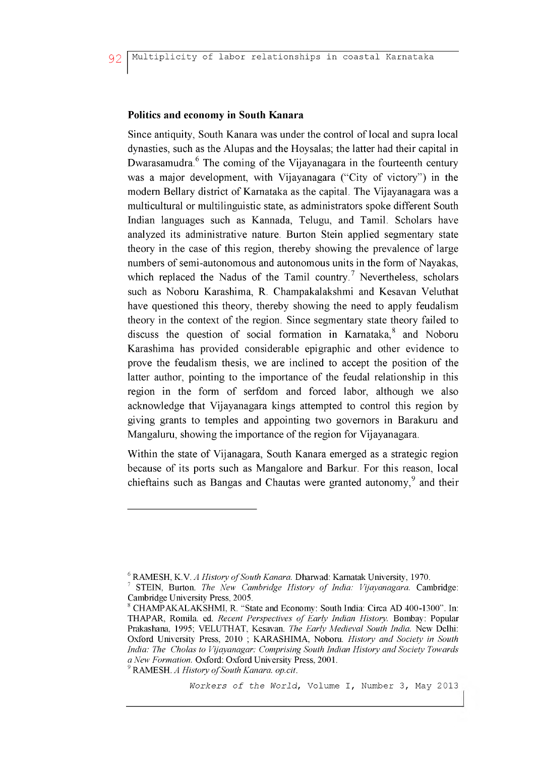## **Politics and economy in South Kanara**

Since antiquity, South Kanara was under the control of local and supra local dynasties, such as the Alupas and the Hoysalas; the latter had their capital in Dwarasamudra. $6$  The coming of the Vijayanagara in the fourteenth century was a major development, with Vijayanagara ("City of victory") in the modern Bellary district of Karnataka as the capital. The Vijayanagara was a multicultural or multilinguistic state, as administrators spoke different South Indian languages such as Kannada, Telugu, and Tamil. Scholars have analyzed its administrative nature. Burton Stein applied segmentary state theory in the case of this region, thereby showing the prevalence of large numbers of semi-autonomous and autonomous units in the form of Nayakas, which replaced the Nadus of the Tamil country.<sup>7</sup> Nevertheless, scholars such as Noboru Karashima, R. Champakalakshmi and Kesavan Veluthat have questioned this theory, thereby showing the need to apply feudalism theory in the context of the region. Since segmentary state theory failed to discuss the question of social formation in Karnataka, $\delta$  and Noboru Karashima has provided considerable epigraphic and other evidence to prove the feudalism thesis, we are inclined to accept the position of the latter author, pointing to the importance of the feudal relationship in this region in the form of serfdom and forced labor, although we also acknowledge that Vijayanagara kings attempted to control this region by giving grants to temples and appointing two governors in Barakuru and Mangaluru, showing the importance of the region for Vijayanagara.

Within the state of Vijanagara, South Kanara emerged as a strategic region because of its ports such as Mangalore and Barkur. For this reason, local chieftains such as Bangas and Chautas were granted autonomy, $9$  and their

*Workers of the World,* Volume I, Number 3, May 2013

<sup>&</sup>lt;sup>6</sup> RAMESH, K.V. *A History of South Kanara.* Dharwad: Karnatak University, 1970.

*STEIN, Burton. The New Cambridge History of India: Vijayanagara.* **Cambridge: Cambridge University Press, 2005.**

**<sup>8</sup> CHAMPAKALAKSHMI, R. "State and Economy: South India: Circa AD 400-1300". In: THAPAR, Romila. ed.** *Recent Perspectives o f Early Indian History.* **Bombay: Popular Prakashana, 1995; VELUTHAT, Kesavan.** *The Early Medieval South India.* **New Delhi: Oxford University Press, 2010 ; KARASHIMA, Noboru.** *History and Society in South India: The Cholas to Vijayanagar: Comprising South Indian History and Society Towards a New Formation.* **Oxford: Oxford University Press, 2001.**

<sup>&</sup>lt;sup>9</sup> RAMESH. *A History of South Kanara. op.cit.*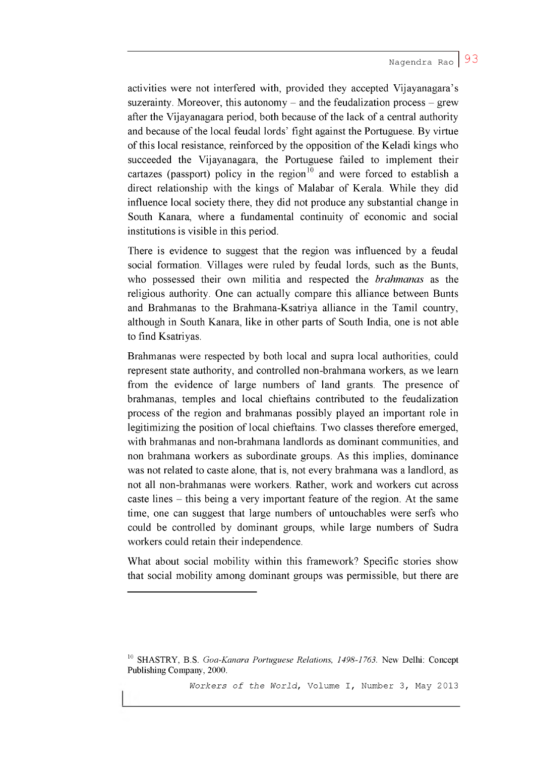activities were not interfered with, provided they accepted Vijayanagara's suzerainty. Moreover, this autonomy  $-$  and the feudalization process  $-$  grew after the Vijayanagara period, both because of the lack of a central authority and because of the local feudal lords' fight against the Portuguese. By virtue of this local resistance, reinforced by the opposition of the Keladi kings who succeeded the Vijayanagara, the Portuguese failed to implement their cartazes (passport) policy in the region<sup>10</sup> and were forced to establish a direct relationship with the kings of Malabar of Kerala. While they did influence local society there, they did not produce any substantial change in South Kanara, where a fundamental continuity of economic and social institutions is visible in this period.

There is evidence to suggest that the region was influenced by a feudal social formation. Villages were ruled by feudal lords, such as the Bunts, who possessed their own militia and respected the *brahmanas* as the religious authority. One can actually compare this alliance between Bunts and Brahmanas to the Brahmana-Ksatriya alliance in the Tamil country, although in South Kanara, like in other parts of South India, one is not able to find Ksatriyas.

Brahmanas were respected by both local and supra local authorities, could represent state authority, and controlled non-brahmana workers, as we learn from the evidence of large numbers of land grants. The presence of brahmanas, temples and local chieftains contributed to the feudalization process of the region and brahmanas possibly played an important role in legitimizing the position of local chieftains. Two classes therefore emerged, with brahmanas and non-brahmana landlords as dominant communities, and non brahmana workers as subordinate groups. As this implies, dominance was not related to caste alone, that is, not every brahmana was a landlord, as not all non-brahmanas were workers. Rather, work and workers cut across caste lines - this being a very important feature of the region. At the same time, one can suggest that large numbers of untouchables were serfs who could be controlled by dominant groups, while large numbers of Sudra workers could retain their independence.

What about social mobility within this framework? Specific stories show that social mobility among dominant groups was permissible, but there are

**<sup>10</sup> SHASTRY, B.S.** *Goa-Kanara Portuguese Relations, 1498-1763.* **New Delhi: Concept Publishing Company, 2000.**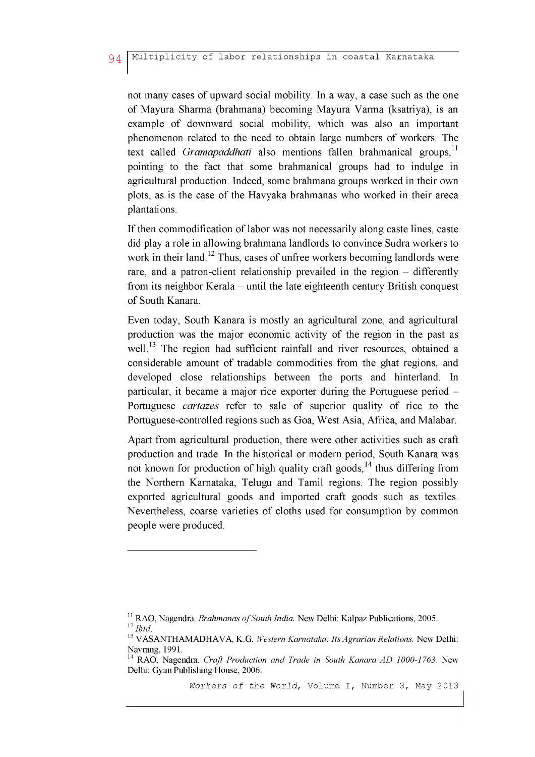not many cases of upward social mobility. In a way, a case such as the one of Mayura Sharma (brahmana) becoming Mayura Varma (ksatriya), is an example of downward social mobility, which was also an important phenomenon related to the need to obtain large numbers of workers. The text called *Gramapaddhati* also mentions fallen brahmanical groups.<sup>11</sup> pointing to the fact that some brahmanical groups had to indulge in agricultural production. Indeed, some brahmana groups worked in their own plots, as is the case of the Havyaka brahmanas who worked in their areca plantations.

If then commodification of labor was not necessarily along caste lines, caste did play a role in allowing brahmana landlords to convince Sudra workers to work in their land.<sup>12</sup> Thus, cases of unfree workers becoming landlords were rare, and a patron-client relationship prevailed in the region – differently from its neighbor Kerala – until the late eighteenth century British conquest of South Kanara.

Even today, South Kanara is mostly an agricultural zone, and agricultural production was the major economic activity of the region in the past as well.<sup>13</sup> The region had sufficient rainfall and river resources, obtained a considerable amount of tradable commodities from the ghat regions, and developed close relationships between the ports and hinterland. In particular, it became a major rice exporter during the Portuguese period - Portuguese *cartazes* refer to sale of superior quality of rice to the Portuguese-controlled regions such as Goa, West Asia, Africa, and Malabar.

Apart from agricultural production, there were other activities such as craft production and trade. In the historical or modern period, South Kanara was not known for production of high quality craft goods,  $14$  thus differing from the Northern Karnataka, Telugu and Tamil regions. The region possibly exported agricultural goods and imported craft goods such as textiles. Nevertheless, coarse varieties of cloths used for consumption by common people were produced.

<sup>&</sup>lt;sup>11</sup> RAO, Nagendra. *Brahmanas of South India*. New Delhi: Kalpaz Publications, 2005. 12*Ibid.*

<sup>13</sup> **VASANTHAMADHAVA, K.G.** *Western Karnataka: Its Agrarian Relations.* **New Delhi: Navrang, 1991.**

<sup>14</sup> **RAO, Nagendra.** *Craft Production and Trade in South Kanara AD 1000-1763.* **New Delhi: Gyan Publishing House, 2006.**

*Workers of the World,* Volume I, Number 3, May 2013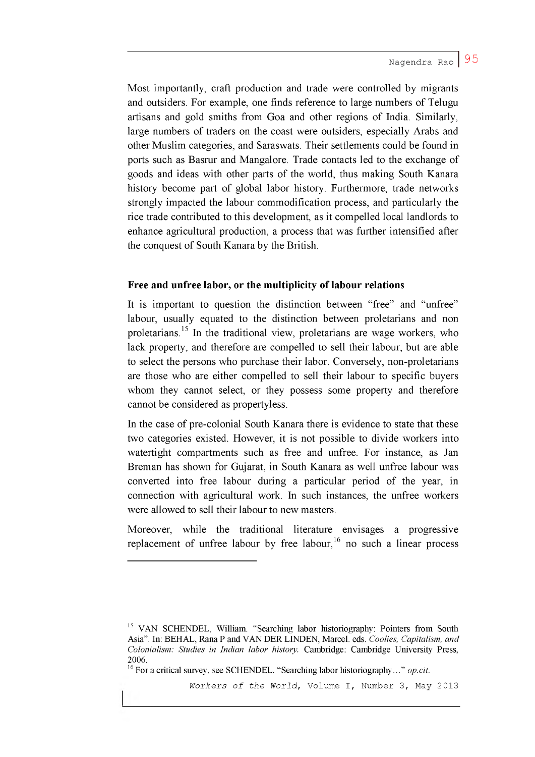Most importantly, craft production and trade were controlled by migrants and outsiders. For example, one finds reference to large numbers of Telugu artisans and gold smiths from Goa and other regions of India. Similarly, large numbers of traders on the coast were outsiders, especially Arabs and other Muslim categories, and Saraswats. Their settlements could be found in ports such as Basrur and Mangalore. Trade contacts led to the exchange of goods and ideas with other parts of the world, thus making South Kanara history become part of global labor history. Furthermore, trade networks strongly impacted the labour commodification process, and particularly the rice trade contributed to this development, as it compelled local landlords to enhance agricultural production, a process that was further intensified after the conquest of South Kanara by the British.

## **Free and unfree labor, or the multiplicity of labour relations**

It is important to question the distinction between "free" and "unfree" labour, usually equated to the distinction between proletarians and non proletarians.15 In the traditional view, proletarians are wage workers, who lack property, and therefore are compelled to sell their labour, but are able to select the persons who purchase their labor. Conversely, non-proletarians are those who are either compelled to sell their labour to specific buyers whom they cannot select, or they possess some property and therefore cannot be considered as propertyless.

In the case of pre-colonial South Kanara there is evidence to state that these two categories existed. However, it is not possible to divide workers into watertight compartments such as free and unfree. For instance, as Jan Breman has shown for Gujarat, in South Kanara as well unfree labour was converted into free labour during a particular period of the year, in connection with agricultural work. In such instances, the unfree workers were allowed to sell their labour to new masters.

Moreover, while the traditional literature envisages a progressive replacement of unfree labour by free labour,<sup>16</sup> no such a linear process

**<sup>15</sup> VAN SCHENDEL, William. "Searching labor historiography: Pointers from South Asia". In: BEHAL, Rana P and VAN DER LINDEN, Marcel. eds.** *Coolies, Capitalism, and Colonialism: Studies in Indian labor history.* **Cambridge: Cambridge University Press, 2006.**

<sup>&</sup>lt;sup>16</sup> For a critical survey, see SCHENDEL. "Searching labor historiography..." *op.cit.*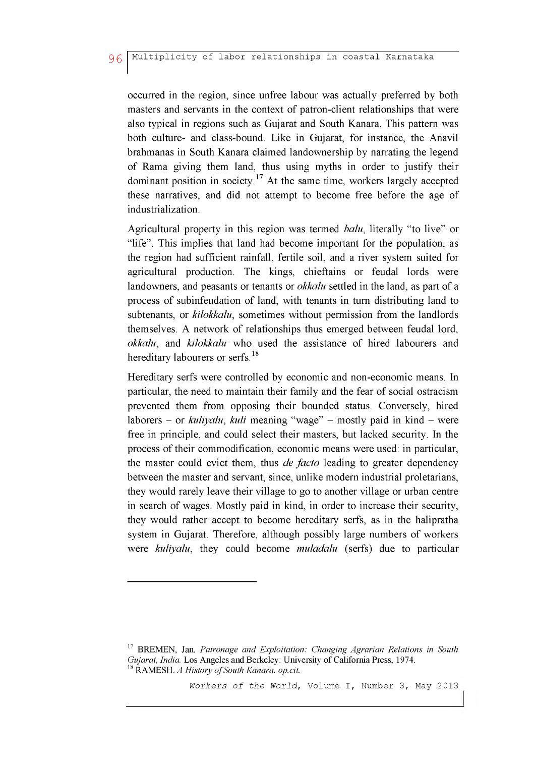occurred in the region, since unfree labour was actually preferred by both masters and servants in the context of patron-client relationships that were also typical in regions such as Gujarat and South Kanara. This pattern was both culture- and class-bound. Like in Gujarat, for instance, the Anavil brahmanas in South Kanara claimed landownership by narrating the legend of Rama giving them land, thus using myths in order to justify their dominant position in society.<sup>17</sup> At the same time, workers largely accepted these narratives, and did not attempt to become free before the age of industrialization.

Agricultural property in this region was termed *balu*, literally "to live" or "life". This implies that land had become important for the population, as the region had sufficient rainfall, fertile soil, and a river system suited for agricultural production. The kings, chieftains or feudal lords were landowners, and peasants or tenants or *okkalu* settled in the land, as part of a process of subinfeudation of land, with tenants in turn distributing land to subtenants, or *kilokkalu*, sometimes without permission from the landlords themselves. A network of relationships thus emerged between feudal lord, *okkalu,* and *kilokkalu* who used the assistance of hired labourers and hereditary labourers or serfs.<sup>18</sup>

Hereditary serfs were controlled by economic and non-economic means. In particular, the need to maintain their family and the fear of social ostracism prevented them from opposing their bounded status. Conversely, hired laborers - or *kuliyalu*, *kuli* meaning "wage" - mostly paid in kind - were free in principle, and could select their masters, but lacked security. In the process of their commodification, economic means were used: in particular, the master could evict them, thus *de facto* leading to greater dependency between the master and servant, since, unlike modern industrial proletarians, they would rarely leave their village to go to another village or urban centre in search of wages. Mostly paid in kind, in order to increase their security, they would rather accept to become hereditary serfs, as in the halipratha system in Gujarat. Therefore, although possibly large numbers of workers were *kuliyalu*, they could become *muladalu* (serfs) due to particular

**<sup>17</sup> BREMEN, Jan.** *Patronage and Exploitation: Changing Agrarian Relations in South Gujarat, India.* **Los Angeles and Berkeley: University of California Press, 1974.** <sup>18</sup> RAMESH. *A History of South Kanara. op.cit.*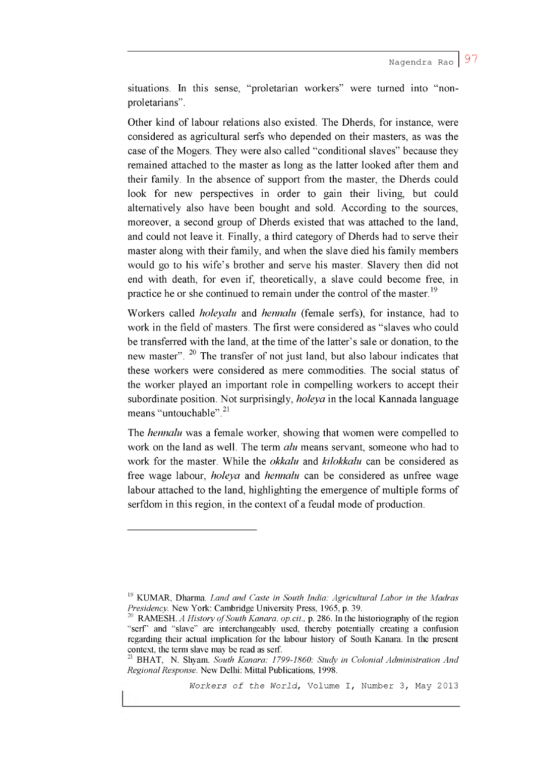situations. In this sense, "proletarian workers" were turned into "nonproletarians".

Other kind of labour relations also existed. The Dherds, for instance, were considered as agricultural serfs who depended on their masters, as was the case of the Mogers. They were also called "conditional slaves" because they remained attached to the master as long as the latter looked after them and their family. In the absence of support from the master, the Dherds could look for new perspectives in order to gain their living, but could alternatively also have been bought and sold. According to the sources, moreover, a second group of Dherds existed that was attached to the land, and could not leave it. Finally, a third category of Dherds had to serve their master along with their family, and when the slave died his family members would go to his wife's brother and serve his master. Slavery then did not end with death, for even if, theoretically, a slave could become free, in practice he or she continued to remain under the control of the master.<sup>19</sup>

Workers called *holeyalu* and *hennalu* (female serfs), for instance, had to work in the field of masters. The first were considered as "slaves who could be transferred with the land, at the time of the latter's sale or donation, to the new master". <sup>20</sup> The transfer of not just land, but also labour indicates that these workers were considered as mere commodities. The social status of the worker played an important role in compelling workers to accept their subordinate position. Not surprisingly, *holeya* in the local Kannada language means "untouchable".<sup>21</sup>

The *hennalu* was a female worker, showing that women were compelled to work on the land as well. The term *alu* means servant, someone who had to work for the master. While the *okkalu* and *kilokkalu* can be considered as free wage labour, *holeya* and *hennalu* can be considered as unfree wage labour attached to the land, highlighting the emergence of multiple forms of serfdom in this region, in the context of a feudal mode of production.

**<sup>19</sup> KUMAR, Dharma.** *Land and Caste in South India: Agricultural Labor in the Madras Presidency.* **New York: Cambridge University Press, 1965, p. 39.**

<sup>&</sup>lt;sup>20</sup> RAMESH. *A History of South Kanara. op.cit.*, **p.** 286. In the historiography of the region **"serf" and "slave" are interchangeably used, thereby potentially creating a confusion regarding their actual implication for the labour history of South Kanara. In the present context, the term slave may be read as serf.**

**<sup>21</sup> BHAT, N. Shyam.** *South Kanara: 1799-1860: Study in Colonial Administration And Regional Response.* **New Delhi: Mittal Publications, 1998.**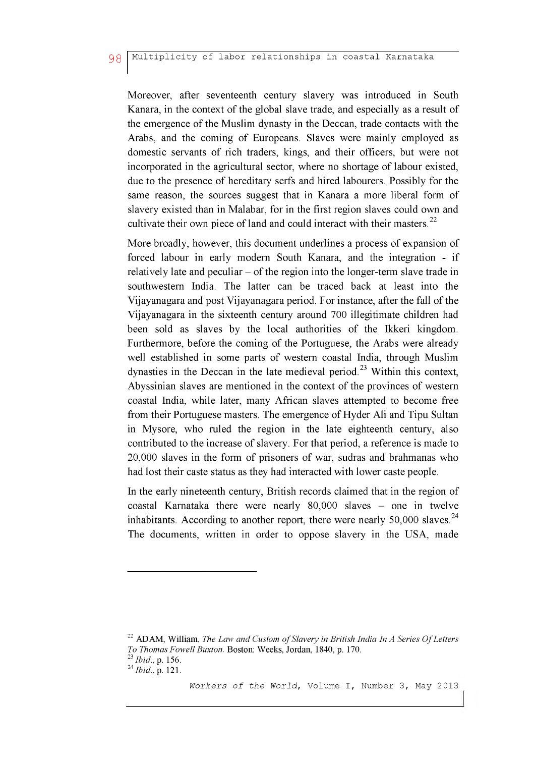Moreover, after seventeenth century slavery was introduced in South Kanara, in the context of the global slave trade, and especially as a result of the emergence of the Muslim dynasty in the Deccan, trade contacts with the Arabs, and the coming of Europeans. Slaves were mainly employed as domestic servants of rich traders, kings, and their officers, but were not incorporated in the agricultural sector, where no shortage of labour existed, due to the presence of hereditary serfs and hired labourers. Possibly for the same reason, the sources suggest that in Kanara a more liberal form of slavery existed than in Malabar, for in the first region slaves could own and cultivate their own piece of land and could interact with their masters. $^{22}$ 

More broadly, however, this document underlines a process of expansion of forced labour in early modern South Kanara, and the integration - if relatively late and peculiar  $-$  of the region into the longer-term slave trade in southwestern India. The latter can be traced back at least into the Vijayanagara and post Vijayanagara period. For instance, after the fall of the Vijayanagara in the sixteenth century around 700 illegitimate children had been sold as slaves by the local authorities of the Ikkeri kingdom. Furthermore, before the coming of the Portuguese, the Arabs were already well established in some parts of western coastal India, through Muslim dynasties in the Deccan in the late medieval period.<sup>23</sup> Within this context, Abyssinian slaves are mentioned in the context of the provinces of western coastal India, while later, many African slaves attempted to become free from their Portuguese masters. The emergence of Hyder Ali and Tipu Sultan in Mysore, who ruled the region in the late eighteenth century, also contributed to the increase of slavery. For that period, a reference is made to 20,000 slaves in the form of prisoners of war, sudras and brahmanas who had lost their caste status as they had interacted with lower caste people.

In the early nineteenth century, British records claimed that in the region of coastal Karnataka there were nearly 80,000 slaves - one in twelve inhabitants. According to another report, there were nearly  $50,000$  slaves.<sup>24</sup> The documents, written in order to oppose slavery in the USA, made

<sup>&</sup>lt;sup>22</sup> ADAM, William. *The Law and Custom of Slavery in British India In A Series Of Letters To Thomas Fowell Buxton.* **Boston: Weeks, Jordan, 1840, p. 170. 23** *Ib id ,* **p. 156. 24** *Ib id ,* **p. 121.**